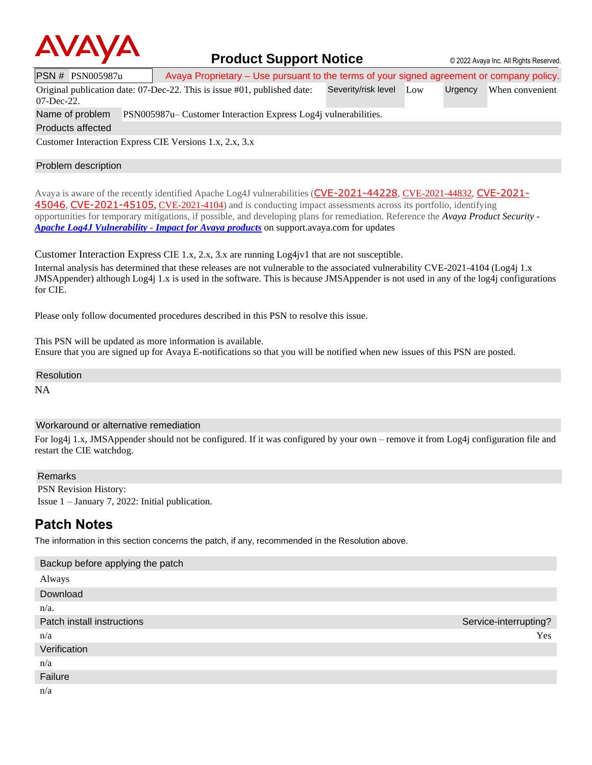

# **Product Support Notice**  $\circ$  2022 Avaya Inc. All Rights Reserved.

PSN # PSN005987u Avaya Proprietary – Use pursuant to the terms of your signed agreement or company policy.

Original publication date: 07-Dec-22. This is issue #01, published date: Severity/risk level Low Urgency When convenient

07-Dec-22.

Name of problem PSN005987u– Customer Interaction Express Log4j vulnerabilities.

Products affected

Customer Interaction Express CIE Versions 1.x, 2.x, 3.x

### Problem description

Avaya is aware of the recently identified Apache Log4J vulnerabilities ([CVE-2021-44228](https://cve.mitre.org/cgi-bin/cvename.cgi?name=CVE-2021-44228), CVE-2021-44832, [CVE-2021-](https://cve.mitre.org/cgi-bin/cvename.cgi?name=CVE-2021-45046) [45046](https://cve.mitre.org/cgi-bin/cvename.cgi?name=CVE-2021-45046), [CVE-2021-45105](https://cve.mitre.org/cgi-bin/cvename.cgi?name=CVE-2021-45105), CVE-2021-4104) and is conducting impact assessments across its portfolio, identifying opportunities for temporary mitigations, if possible, and developing plans for remediation. Reference the *Avaya Product Security - [Apache Log4J Vulnerability](http://www.avaya.com/emergencyupdate) - Impact for Avaya products* on support.avaya.com for updates

Customer Interaction Express CIE 1.x, 2.x, 3.x are running Log4jv1 that are not susceptible.

Internal analysis has determined that these releases are not vulnerable to the associated vulnerability CVE-2021-4104 (Log4j 1.x JMSAppender) although Log4j 1.x is used in the software. This is because JMSAppender is not used in any of the log4j configurations for CIE.

Please only follow documented procedures described in this PSN to resolve this issue.

This PSN will be updated as more information is available. Ensure that you are signed up for Avaya E-notifications so that you will be notified when new issues of this PSN are posted.

Resolution

NA

### Workaround or alternative remediation

For log4j 1.x, JMSAppender should not be configured. If it was configured by your own – remove it from Log4j configuration file and restart the CIE watchdog.

#### Remarks

PSN Revision History: Issue 1 – January 7, 2022: Initial publication.

# **Patch Notes**

The information in this section concerns the patch, if any, recommended in the Resolution above.

| Backup before applying the patch |                       |
|----------------------------------|-----------------------|
| Always                           |                       |
| Download                         |                       |
| $n/a$ .                          |                       |
| Patch install instructions       | Service-interrupting? |
| n/a                              | Yes                   |
| Verification                     |                       |
| n/a                              |                       |
| Failure                          |                       |
| n/a                              |                       |